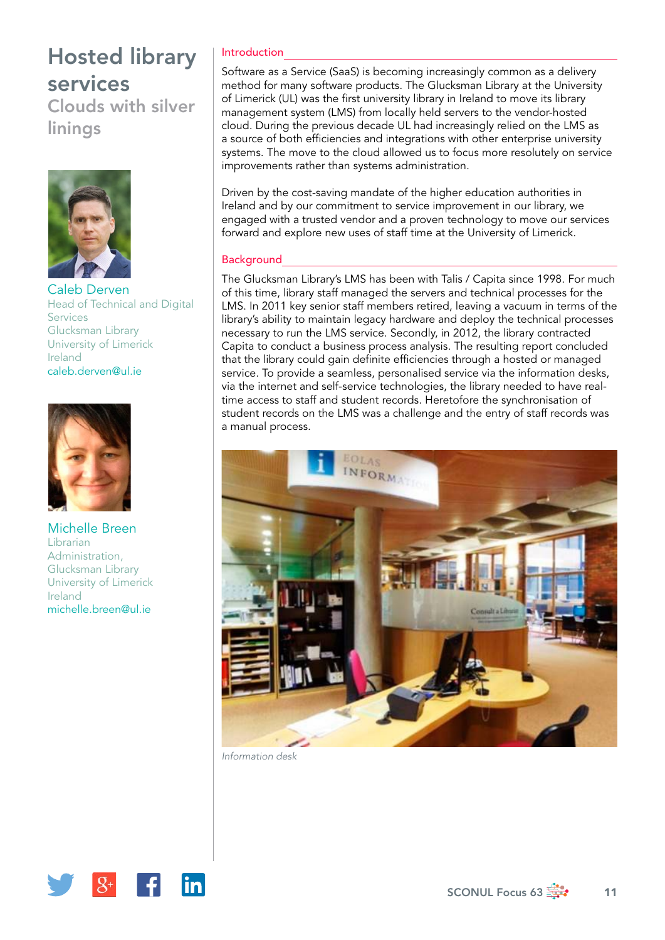# Hosted library services

Clouds with silver linings



Caleb Derven Head of Technical and Digital Services Glucksman Library University of Limerick Ireland [caleb.derven@ul.ie](mailto:caleb.derven@ul.ie)



Michelle Breen Librarian Administration, Glucksman Library University of Limerick Ireland [michelle.breen@ul.ie](mailto:michelle.breen@ul.ie)

### Introduction

Software as a Service (SaaS) is becoming increasingly common as a delivery method for many software products. The Glucksman Library at the University of Limerick (UL) was the first university library in Ireland to move its library management system (LMS) from locally held servers to the vendor-hosted cloud. During the previous decade UL had increasingly relied on the LMS as a source of both efficiencies and integrations with other enterprise university systems. The move to the cloud allowed us to focus more resolutely on service improvements rather than systems administration.

Driven by the cost-saving mandate of the higher education authorities in Ireland and by our commitment to service improvement in our library, we engaged with a trusted vendor and a proven technology to move our services forward and explore new uses of staff time at the University of Limerick.

#### **Background**

The Glucksman Library's LMS has been with Talis / Capita since 1998. For much of this time, library staff managed the servers and technical processes for the LMS. In 2011 key senior staff members retired, leaving a vacuum in terms of the library's ability to maintain legacy hardware and deploy the technical processes necessary to run the LMS service. Secondly, in 2012, the library contracted Capita to conduct a business process analysis. The resulting report concluded that the library could gain definite efficiencies through a hosted or managed service. To provide a seamless, personalised service via the information desks, via the internet and self-service technologies, the library needed to have realtime access to staff and student records. Heretofore the synchronisation of student records on the LMS was a challenge and the entry of staff records was a manual process.



*Information desk*

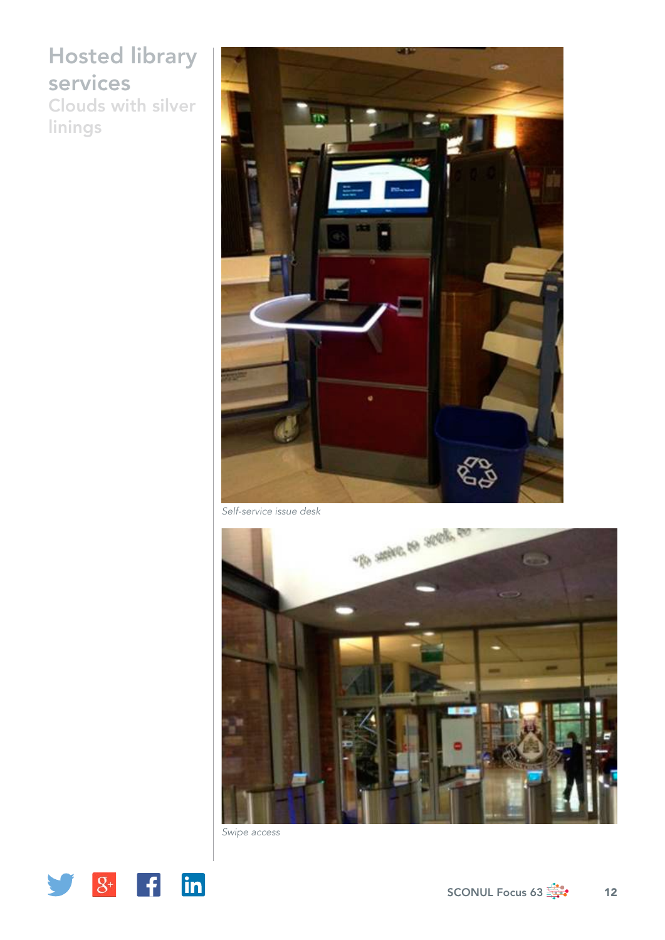## Hosted library services Clouds with silver

linings



*Self-service issue desk*



*Swipe access*

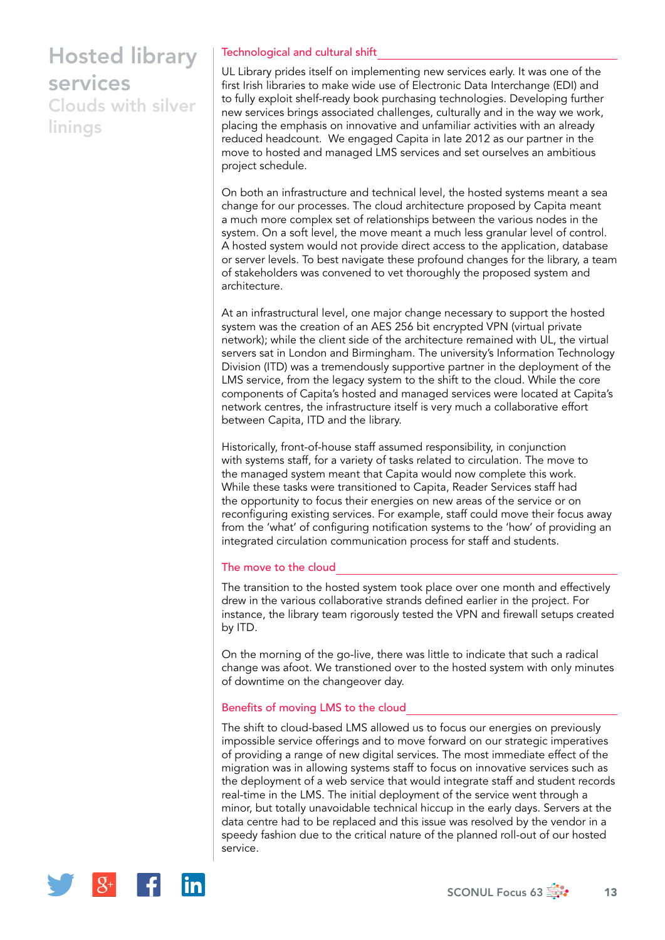# Hosted library services

Clouds with silver linings

### Technological and cultural shift

UL Library prides itself on implementing new services early. It was one of the first Irish libraries to make wide use of Electronic Data Interchange (EDI) and to fully exploit shelf-ready book purchasing technologies. Developing further new services brings associated challenges, culturally and in the way we work, placing the emphasis on innovative and unfamiliar activities with an already reduced headcount. We engaged Capita in late 2012 as our partner in the move to hosted and managed LMS services and set ourselves an ambitious project schedule.

On both an infrastructure and technical level, the hosted systems meant a sea change for our processes. The cloud architecture proposed by Capita meant a much more complex set of relationships between the various nodes in the system. On a soft level, the move meant a much less granular level of control. A hosted system would not provide direct access to the application, database or server levels. To best navigate these profound changes for the library, a team of stakeholders was convened to vet thoroughly the proposed system and architecture.

At an infrastructural level, one major change necessary to support the hosted system was the creation of an AES 256 bit encrypted VPN (virtual private network); while the client side of the architecture remained with UL, the virtual servers sat in London and Birmingham. The university's Information Technology Division (ITD) was a tremendously supportive partner in the deployment of the LMS service, from the legacy system to the shift to the cloud. While the core components of Capita's hosted and managed services were located at Capita's network centres, the infrastructure itself is very much a collaborative effort between Capita, ITD and the library.

Historically, front-of-house staff assumed responsibility, in conjunction with systems staff, for a variety of tasks related to circulation. The move to the managed system meant that Capita would now complete this work. While these tasks were transitioned to Capita, Reader Services staff had the opportunity to focus their energies on new areas of the service or on reconfiguring existing services. For example, staff could move their focus away from the 'what' of configuring notification systems to the 'how' of providing an integrated circulation communication process for staff and students.

### The move to the cloud

The transition to the hosted system took place over one month and effectively drew in the various collaborative strands defined earlier in the project. For instance, the library team rigorously tested the VPN and firewall setups created by ITD.

On the morning of the go-live, there was little to indicate that such a radical change was afoot. We transtioned over to the hosted system with only minutes of downtime on the changeover day.

#### Benefits of moving LMS to the cloud

The shift to cloud-based LMS allowed us to focus our energies on previously impossible service offerings and to move forward on our strategic imperatives of providing a range of new digital services. The most immediate effect of the migration was in allowing systems staff to focus on innovative services such as the deployment of a web service that would integrate staff and student records real-time in the LMS. The initial deployment of the service went through a minor, but totally unavoidable technical hiccup in the early days. Servers at the data centre had to be replaced and this issue was resolved by the vendor in a speedy fashion due to the critical nature of the planned roll-out of our hosted service.